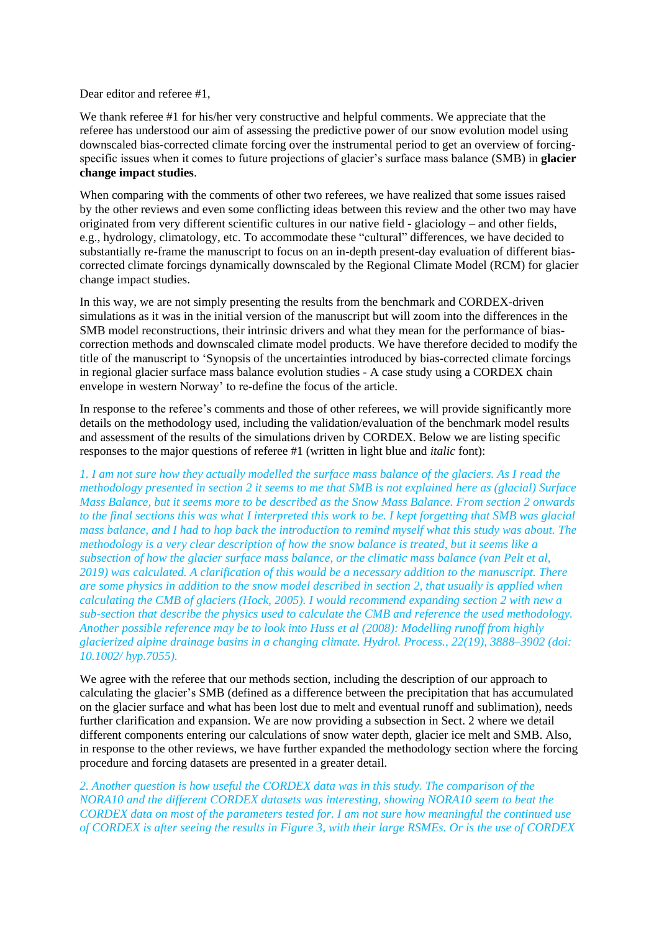Dear editor and referee #1,

We thank referee #1 for his/her very constructive and helpful comments. We appreciate that the referee has understood our aim of assessing the predictive power of our snow evolution model using downscaled bias-corrected climate forcing over the instrumental period to get an overview of forcingspecific issues when it comes to future projections of glacier's surface mass balance (SMB) in **glacier change impact studies**.

When comparing with the comments of other two referees, we have realized that some issues raised by the other reviews and even some conflicting ideas between this review and the other two may have originated from very different scientific cultures in our native field - glaciology – and other fields, e.g., hydrology, climatology, etc. To accommodate these "cultural" differences, we have decided to substantially re-frame the manuscript to focus on an in-depth present-day evaluation of different biascorrected climate forcings dynamically downscaled by the Regional Climate Model (RCM) for glacier change impact studies.

In this way, we are not simply presenting the results from the benchmark and CORDEX-driven simulations as it was in the initial version of the manuscript but will zoom into the differences in the SMB model reconstructions, their intrinsic drivers and what they mean for the performance of biascorrection methods and downscaled climate model products. We have therefore decided to modify the title of the manuscript to 'Synopsis of the uncertainties introduced by bias-corrected climate forcings in regional glacier surface mass balance evolution studies - A case study using a CORDEX chain envelope in western Norway' to re-define the focus of the article.

In response to the referee's comments and those of other referees, we will provide significantly more details on the methodology used, including the validation/evaluation of the benchmark model results and assessment of the results of the simulations driven by CORDEX. Below we are listing specific responses to the major questions of referee #1 (written in light blue and *italic* font):

*1. I am not sure how they actually modelled the surface mass balance of the glaciers. As I read the methodology presented in section 2 it seems to me that SMB is not explained here as (glacial) Surface Mass Balance, but it seems more to be described as the Snow Mass Balance. From section 2 onwards to the final sections this was what I interpreted this work to be. I kept forgetting that SMB was glacial mass balance, and I had to hop back the introduction to remind myself what this study was about. The methodology is a very clear description of how the snow balance is treated, but it seems like a subsection of how the glacier surface mass balance, or the climatic mass balance (van Pelt et al, 2019) was calculated. A clarification of this would be a necessary addition to the manuscript. There are some physics in addition to the snow model described in section 2, that usually is applied when calculating the CMB of glaciers (Hock, 2005). I would recommend expanding section 2 with new a sub-section that describe the physics used to calculate the CMB and reference the used methodology. Another possible reference may be to look into Huss et al (2008): Modelling runoff from highly glacierized alpine drainage basins in a changing climate. Hydrol. Process., 22(19), 3888–3902 (doi: 10.1002/ hyp.7055).*

We agree with the referee that our methods section, including the description of our approach to calculating the glacier's SMB (defined as a difference between the precipitation that has accumulated on the glacier surface and what has been lost due to melt and eventual runoff and sublimation), needs further clarification and expansion. We are now providing a subsection in Sect. 2 where we detail different components entering our calculations of snow water depth, glacier ice melt and SMB. Also, in response to the other reviews, we have further expanded the methodology section where the forcing procedure and forcing datasets are presented in a greater detail.

*2. Another question is how useful the CORDEX data was in this study. The comparison of the NORA10 and the different CORDEX datasets was interesting, showing NORA10 seem to beat the CORDEX data on most of the parameters tested for. I am not sure how meaningful the continued use of CORDEX is after seeing the results in Figure 3, with their large RSMEs. Or is the use of CORDEX*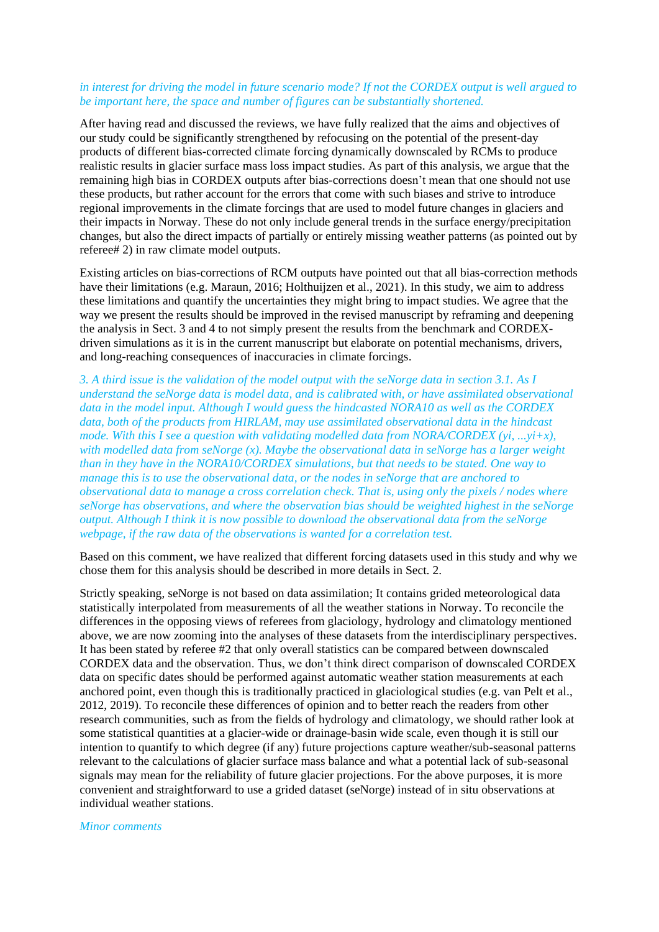## *in interest for driving the model in future scenario mode? If not the CORDEX output is well argued to be important here, the space and number of figures can be substantially shortened.*

After having read and discussed the reviews, we have fully realized that the aims and objectives of our study could be significantly strengthened by refocusing on the potential of the present-day products of different bias-corrected climate forcing dynamically downscaled by RCMs to produce realistic results in glacier surface mass loss impact studies. As part of this analysis, we argue that the remaining high bias in CORDEX outputs after bias-corrections doesn't mean that one should not use these products, but rather account for the errors that come with such biases and strive to introduce regional improvements in the climate forcings that are used to model future changes in glaciers and their impacts in Norway. These do not only include general trends in the surface energy/precipitation changes, but also the direct impacts of partially or entirely missing weather patterns (as pointed out by referee# 2) in raw climate model outputs.

Existing articles on bias-corrections of RCM outputs have pointed out that all bias-correction methods have their limitations (e.g. Maraun, 2016; Holthuijzen et al., 2021). In this study, we aim to address these limitations and quantify the uncertainties they might bring to impact studies. We agree that the way we present the results should be improved in the revised manuscript by reframing and deepening the analysis in Sect. 3 and 4 to not simply present the results from the benchmark and CORDEXdriven simulations as it is in the current manuscript but elaborate on potential mechanisms, drivers, and long-reaching consequences of inaccuracies in climate forcings.

*3. A third issue is the validation of the model output with the seNorge data in section 3.1. As I understand the seNorge data is model data, and is calibrated with, or have assimilated observational data in the model input. Although I would guess the hindcasted NORA10 as well as the CORDEX data, both of the products from HIRLAM, may use assimilated observational data in the hindcast mode. With this I see a question with validating modelled data from NORA/CORDEX (yi, ...yi+x), with modelled data from seNorge (x). Maybe the observational data in seNorge has a larger weight than in they have in the NORA10/CORDEX simulations, but that needs to be stated. One way to manage this is to use the observational data, or the nodes in seNorge that are anchored to observational data to manage a cross correlation check. That is, using only the pixels / nodes where seNorge has observations, and where the observation bias should be weighted highest in the seNorge output. Although I think it is now possible to download the observational data from the seNorge webpage, if the raw data of the observations is wanted for a correlation test.*

Based on this comment, we have realized that different forcing datasets used in this study and why we chose them for this analysis should be described in more details in Sect. 2.

Strictly speaking, seNorge is not based on data assimilation; It contains grided meteorological data statistically interpolated from measurements of all the weather stations in Norway. To reconcile the differences in the opposing views of referees from glaciology, hydrology and climatology mentioned above, we are now zooming into the analyses of these datasets from the interdisciplinary perspectives. It has been stated by referee #2 that only overall statistics can be compared between downscaled CORDEX data and the observation. Thus, we don't think direct comparison of downscaled CORDEX data on specific dates should be performed against automatic weather station measurements at each anchored point, even though this is traditionally practiced in glaciological studies (e.g. van Pelt et al., 2012, 2019). To reconcile these differences of opinion and to better reach the readers from other research communities, such as from the fields of hydrology and climatology, we should rather look at some statistical quantities at a glacier-wide or drainage-basin wide scale, even though it is still our intention to quantify to which degree (if any) future projections capture weather/sub-seasonal patterns relevant to the calculations of glacier surface mass balance and what a potential lack of sub-seasonal signals may mean for the reliability of future glacier projections. For the above purposes, it is more convenient and straightforward to use a grided dataset (seNorge) instead of in situ observations at individual weather stations.

*Minor comments*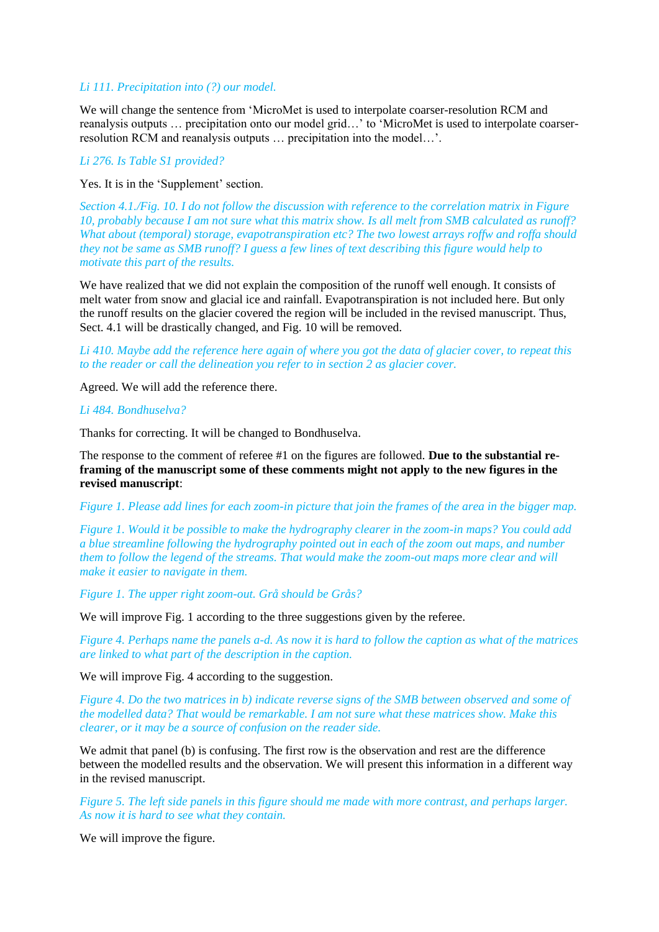## *Li 111. Precipitation into (?) our model.*

We will change the sentence from 'MicroMet is used to interpolate coarser-resolution RCM and reanalysis outputs … precipitation onto our model grid…' to 'MicroMet is used to interpolate coarserresolution RCM and reanalysis outputs … precipitation into the model…'.

## *Li 276. Is Table S1 provided?*

Yes. It is in the 'Supplement' section.

*Section 4.1./Fig. 10. I do not follow the discussion with reference to the correlation matrix in Figure 10, probably because I am not sure what this matrix show. Is all melt from SMB calculated as runoff? What about (temporal) storage, evapotranspiration etc? The two lowest arrays roffw and roffa should they not be same as SMB runoff? I guess a few lines of text describing this figure would help to motivate this part of the results.*

We have realized that we did not explain the composition of the runoff well enough. It consists of melt water from snow and glacial ice and rainfall. Evapotranspiration is not included here. But only the runoff results on the glacier covered the region will be included in the revised manuscript. Thus, Sect. 4.1 will be drastically changed, and Fig. 10 will be removed.

*Li 410. Maybe add the reference here again of where you got the data of glacier cover, to repeat this to the reader or call the delineation you refer to in section 2 as glacier cover.*

Agreed. We will add the reference there.

## *Li 484. Bondhuselva?*

Thanks for correcting. It will be changed to Bondhuselva.

The response to the comment of referee #1 on the figures are followed. **Due to the substantial reframing of the manuscript some of these comments might not apply to the new figures in the revised manuscript**:

*Figure 1. Please add lines for each zoom-in picture that join the frames of the area in the bigger map.* 

*Figure 1. Would it be possible to make the hydrography clearer in the zoom-in maps? You could add a blue streamline following the hydrography pointed out in each of the zoom out maps, and number them to follow the legend of the streams. That would make the zoom-out maps more clear and will make it easier to navigate in them.*

*Figure 1. The upper right zoom-out. Grå should be Grås?*

We will improve Fig. 1 according to the three suggestions given by the referee.

*Figure 4. Perhaps name the panels a-d. As now it is hard to follow the caption as what of the matrices are linked to what part of the description in the caption.*

We will improve Fig. 4 according to the suggestion.

*Figure 4. Do the two matrices in b) indicate reverse signs of the SMB between observed and some of the modelled data? That would be remarkable. I am not sure what these matrices show. Make this clearer, or it may be a source of confusion on the reader side.*

We admit that panel (b) is confusing. The first row is the observation and rest are the difference between the modelled results and the observation. We will present this information in a different way in the revised manuscript.

*Figure 5. The left side panels in this figure should me made with more contrast, and perhaps larger. As now it is hard to see what they contain.*

We will improve the figure.